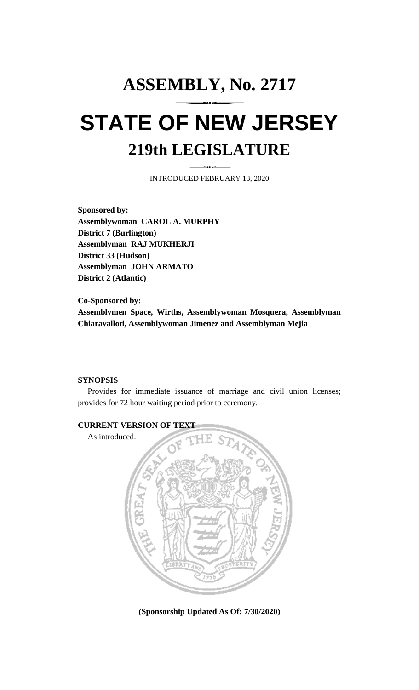## **ASSEMBLY, No. 2717 STATE OF NEW JERSEY 219th LEGISLATURE**

INTRODUCED FEBRUARY 13, 2020

**Sponsored by: Assemblywoman CAROL A. MURPHY District 7 (Burlington) Assemblyman RAJ MUKHERJI District 33 (Hudson) Assemblyman JOHN ARMATO District 2 (Atlantic)**

**Co-Sponsored by: Assemblymen Space, Wirths, Assemblywoman Mosquera, Assemblyman Chiaravalloti, Assemblywoman Jimenez and Assemblyman Mejia**

## **SYNOPSIS**

Provides for immediate issuance of marriage and civil union licenses; provides for 72 hour waiting period prior to ceremony.



**(Sponsorship Updated As Of: 7/30/2020)**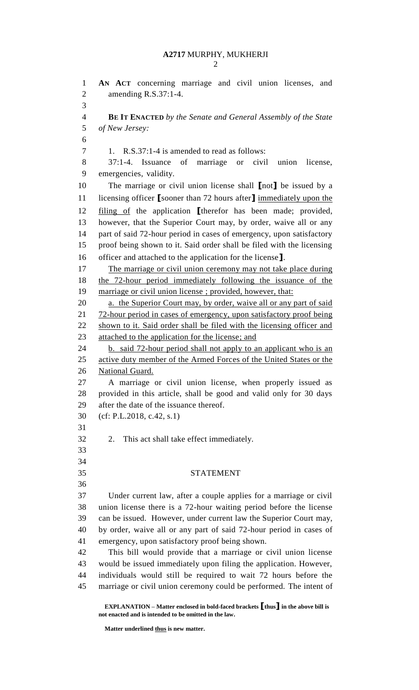## **A2717** MURPHY, MUKHERJI

 **AN ACT** concerning marriage and civil union licenses, and amending R.S.37:1-4. **BE IT ENACTED** *by the Senate and General Assembly of the State of New Jersey:* 1. R.S.37:1-4 is amended to read as follows: 37:1-4. Issuance of marriage or civil union license, emergencies, validity. The marriage or civil union license shall **[**not**]** be issued by a licensing officer **[**sooner than 72 hours after**]** immediately upon the filing of the application **[**therefor has been made; provided, however, that the Superior Court may, by order, waive all or any part of said 72-hour period in cases of emergency, upon satisfactory proof being shown to it. Said order shall be filed with the licensing officer and attached to the application for the license**]**. The marriage or civil union ceremony may not take place during the 72-hour period immediately following the issuance of the marriage or civil union license ; provided, however, that: 20 a. the Superior Court may, by order, waive all or any part of said 21 72-hour period in cases of emergency, upon satisfactory proof being 22 shown to it. Said order shall be filed with the licensing officer and 23 attached to the application for the license; and 24 b. said 72-hour period shall not apply to an applicant who is an 25 active duty member of the Armed Forces of the United States or the **National Guard.**  A marriage or civil union license, when properly issued as provided in this article, shall be good and valid only for 30 days after the date of the issuance thereof. (cf: P.L.2018, c.42, s.1) 2. This act shall take effect immediately. STATEMENT Under current law, after a couple applies for a marriage or civil union license there is a 72-hour waiting period before the license can be issued. However, under current law the Superior Court may, by order, waive all or any part of said 72-hour period in cases of emergency, upon satisfactory proof being shown. This bill would provide that a marriage or civil union license would be issued immediately upon filing the application. However, individuals would still be required to wait 72 hours before the marriage or civil union ceremony could be performed. The intent of

**EXPLANATION – Matter enclosed in bold-faced brackets [thus] in the above bill is not enacted and is intended to be omitted in the law.**

**Matter underlined thus is new matter.**